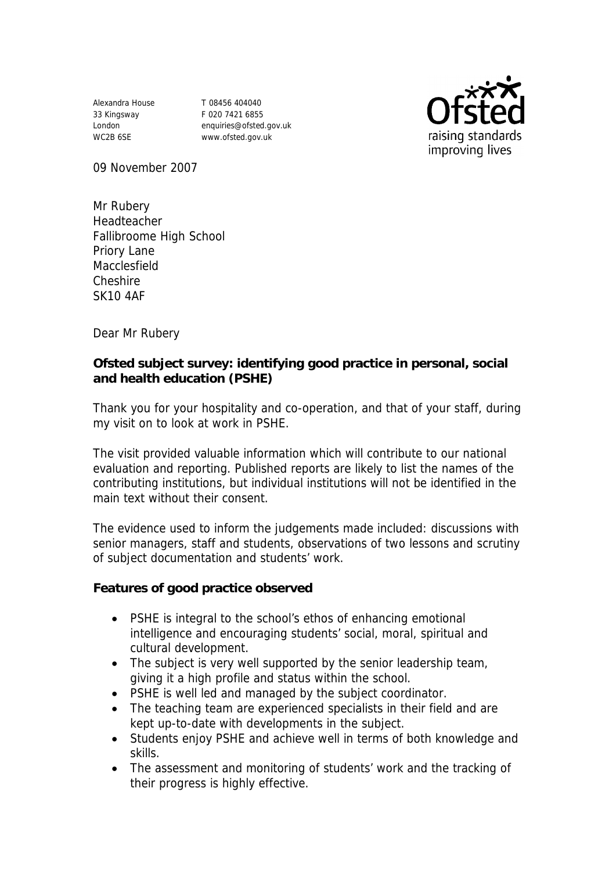Alexandra House 33 Kingsway London WC2B 6SE

T 08456 404040 F 020 7421 6855 enquiries@ofsted.gov.uk www.ofsted.gov.uk



09 November 2007

Mr Rubery Headteacher Fallibroome High School Priory Lane Macclesfield Cheshire SK10 4AF

Dear Mr Rubery

**Ofsted subject survey: identifying good practice in personal, social and health education (PSHE)** 

Thank you for your hospitality and co-operation, and that of your staff, during my visit on to look at work in PSHE.

The visit provided valuable information which will contribute to our national evaluation and reporting. Published reports are likely to list the names of the contributing institutions, but individual institutions will not be identified in the main text without their consent.

The evidence used to inform the judgements made included: discussions with senior managers, staff and students, observations of two lessons and scrutiny of subject documentation and students' work.

**Features of good practice observed**

- PSHE is integral to the school's ethos of enhancing emotional intelligence and encouraging students' social, moral, spiritual and cultural development.
- The subject is very well supported by the senior leadership team, giving it a high profile and status within the school.
- PSHE is well led and managed by the subject coordinator.
- The teaching team are experienced specialists in their field and are kept up-to-date with developments in the subject.
- Students enjoy PSHE and achieve well in terms of both knowledge and skills.
- The assessment and monitoring of students' work and the tracking of their progress is highly effective.